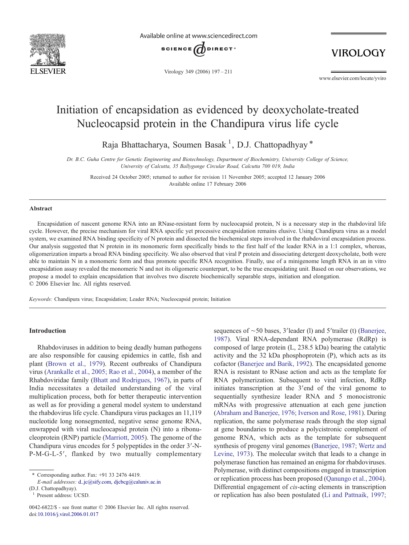

Available online at www.sciencedirect.com



Virology 349 (2006) 197–211

**VIROLOGY** 

www.elsevier.com/locate/yviro

# Initiation of encapsidation as evidenced by deoxycholate-treated Nucleocapsid protein in the Chandipura virus life cycle

Raja Bhattacharya, Soumen Basak<sup>1</sup>, D.J. Chattopadhyay<sup>\*</sup>

Dr. B.C. Guha Centre for Genetic Engineering and Biotechnology, Department of Biochemistry, University College of Science, University of Calcutta, 35 Ballygunge Circular Road, Calcutta 700 019, India

Received 24 October 2005; returned to author for revision 11 November 2005; accepted 12 January 2006 Available online 17 February 2006

#### Abstract

Encapsidation of nascent genome RNA into an RNase-resistant form by nucleocapsid protein, N is a necessary step in the rhabdoviral life cycle. However, the precise mechanism for viral RNA specific yet processive encapsidation remains elusive. Using Chandipura virus as a model system, we examined RNA binding specificity of N protein and dissected the biochemical steps involved in the rhabdoviral encapsidation process. Our analysis suggested that N protein in its monomeric form specifically binds to the first half of the leader RNA in a 1:1 complex, whereas, oligomerization imparts a broad RNA binding specificity. We also observed that viral P protein and dissociating detergent deoxycholate, both were able to maintain N in a monomeric form and thus promote specific RNA recognition. Finally, use of a minigenome length RNA in an in vitro encapsidation assay revealed the monomeric N and not its oligomeric counterpart, to be the true encapsidating unit. Based on our observations, we propose a model to explain encapsidation that involves two discrete biochemically separable steps, initiation and elongation. © 2006 Elsevier Inc. All rights reserved.

Keywords: Chandipura virus; Encapsidation; Leader RNA; Nucleocapsid protein; Initiation

## Introduction

Rhabdoviruses in addition to being deadly human pathogens are also responsible for causing epidemics in cattle, fish and plant ([Brown et al., 1979\)](#page-13-0). Recent outbreaks of Chandipura virus ([Arankalle et al., 2005; Rao et al., 2004](#page-13-0)), a member of the Rhabdoviridae family ([Bhatt and Rodrigues, 1967\)](#page-13-0), in parts of India necessitates a detailed understanding of the viral multiplication process, both for better therapeutic intervention as well as for providing a general model system to understand the rhabdovirus life cycle. Chandipura virus packages an 11,119 nucleotide long nonsegmented, negative sense genome RNA, enwrapped with viral nucleocapsid protein (N) into a ribonucleoprotein (RNP) particle ([Marriott, 2005\)](#page-14-0). The genome of the Chandipura virus encodes for 5 polypeptides in the order 3′-N-P-M-G-L-5′, flanked by two mutually complementary

E-mail addresses: d\_jc@sify.com, [djcbcg@caluniv.ac.in](mailto:d_jc@sify.com, djcbcg@caluniv.ac.in) (D.J. Chattopadhyay).

sequences of ∼50 bases, 3′leader (l) and 5′trailer (t) [\(Banerjee,](#page-13-0) [1987](#page-13-0)). Viral RNA-dependant RNA polymerase (RdRp) is composed of large protein (L, 238.5 kDa) bearing the catalytic activity and the 32 kDa phosphoprotein (P), which acts as its cofactor ([Banerjee and Barik, 1992](#page-13-0)). The encapsidated genome RNA is resistant to RNase action and acts as the template for RNA polymerization. Subsequent to viral infection, RdRp initiates transcription at the 3′end of the viral genome to sequentially synthesize leader RNA and 5 monocistronic mRNAs with progressive attenuation at each gene junction ([Abraham and Banerjee, 1976; Iverson and Rose, 1981\)](#page-13-0). During replication, the same polymerase reads through the stop signal at gene boundaries to produce a polycistronic complement of genome RNA, which acts as the template for subsequent synthesis of progeny viral genomes [\(Banerjee, 1987; Wertz and](#page-13-0) [Levine, 1973\)](#page-13-0). The molecular switch that leads to a change in polymerase function has remained an enigma for rhabdoviruses. Polymerase, with distinct compositions engaged in transcription or replication process has been proposed [\(Qanungo et al., 2004\)](#page-14-0). Differential engagement of cis-acting elements in transcription or replication has also been postulated [\(Li and Pattnaik, 1997;](#page-13-0)

<sup>⁎</sup> Corresponding author. Fax: +91 33 2476 4419.

<sup>&</sup>lt;sup>1</sup> Present address: UCSD.

<sup>0042-6822/\$ -</sup> see front matter © 2006 Elsevier Inc. All rights reserved. doi:[10.1016/j.virol.2006.01.017](http://dx.doi.org/10.1016/j.virol.2006.01.017)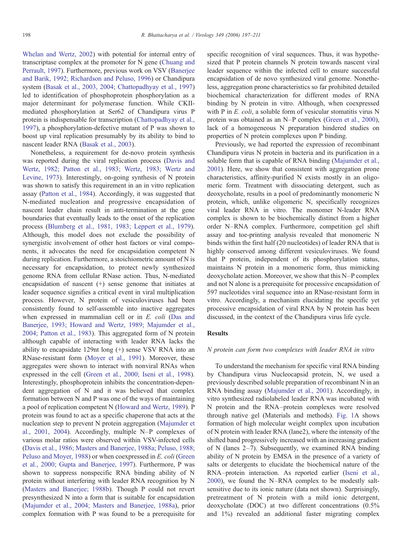[Whelan and Wertz, 2002](#page-13-0)) with potential for internal entry of transcriptase complex at the promoter for N gene ([Chuang and](#page-13-0) [Perrault, 1997\)](#page-13-0). Furthermore, previous work on VSV ([Banerjee](#page-13-0) [and Barik, 1992; Richardson and Peluso, 1996](#page-13-0)) or Chandipura system ([Basak et al., 2003, 2004; Chattopadhyay et al., 1997\)](#page-13-0) led to identification of phosphoprotein phosphorylation as a major determinant for polymerase function. While CKIImediated phosphorylation at Ser62 of Chandipura virus P protein is indispensable for transcription [\(Chattopadhyay et al.,](#page-13-0) [1997\)](#page-13-0), a phosphorylation-defective mutant of P was shown to boost up viral replication presumably by its ability to bind to nascent leader RNA ([Basak et al., 2003\)](#page-13-0).

Nonetheless, a requirement for de-novo protein synthesis was reported during the viral replication process ([Davis and](#page-13-0) [Wertz, 1982; Patton et al., 1983; Wertz, 1983; Wertz and](#page-13-0) [Levine, 1973\)](#page-13-0). Interestingly, on-going synthesis of N protein was shown to satisfy this requirement in an in vitro replication assay ([Patton et al., 1984](#page-14-0)). Accordingly, it was suggested that N-mediated nucleation and progressive encapsidation of nascent leader chain result in anti-termination at the gene boundaries that eventually leads to the onset of the replication process ([Blumberg et al., 1981, 1983; Leppert et al., 1979](#page-13-0)). Although, this model does not exclude the possibility of synergistic involvement of other host factors or viral components, it advocates the need for encapsidation competent N during replication. Furthermore, a stoichiometric amount of N is necessary for encapsidation, to protect newly synthesized genome RNA from cellular RNase action. Thus, N-mediated encapsidation of nascent (+) sense genome that initiates at leader sequence signifies a critical event in viral multiplication process. However, N protein of vesiculoviruses had been consistently found to self-assemble into inactive aggregates when expressed in mammalian cell or in E. coli [\(Das and](#page-13-0) [Banerjee, 1993; Howard and Wertz, 1989; Majumder et al.,](#page-13-0) [2004; Patton et al., 1983\)](#page-13-0). This aggregated form of N protein although capable of interacting with leader RNA lacks the ability to encapsidate 129nt long (+) sense VSV RNA into an RNase-resistant form [\(Moyer et al., 1991\)](#page-14-0). Moreover, these aggregates were shown to interact with nonviral RNAs when expressed in the cell [\(Green et al., 2000; Iseni et al., 1998](#page-13-0)). Interestingly, phosphoprotein inhibits the concentration-dependent aggregation of N and it was believed that complex formation between N and P was one of the ways of maintaining a pool of replication competent N ([Howard and Wertz, 1989](#page-13-0)). P protein was found to act as a specific chaperone that acts at the nucleation step to prevent N protein aggregation ([Majumder et](#page-13-0) [al., 2001, 2004\)](#page-13-0). Accordingly, multiple N–P complexes of various molar ratios were observed within VSV-infected cells ([Davis et al., 1986; Masters and Banerjee, 1988a; Peluso, 1988;](#page-13-0) [Peluso and Moyer, 1988\)](#page-13-0) or when coexpressed in E. coli ([Green](#page-13-0) [et al., 2000; Gupta and Banerjee, 1997\)](#page-13-0). Furthermore, P was shown to suppress nonspecific RNA binding ability of N protein without interfering with leader RNA recognition by N ([Masters and Banerjee; 1988b](#page-14-0)). Though P could not revert presynthesized N into a form that is suitable for encapsidation ([Majumder et al., 2004; Masters and Banerjee, 1988a\)](#page-14-0), prior complex formation with P was found to be a prerequisite for specific recognition of viral sequences. Thus, it was hypothesized that P protein channels N protein towards nascent viral leader sequence within the infected cell to ensure successful encapsidation of de novo synthesized viral genome. Nonetheless, aggregation prone characteristics so far prohibited detailed biochemical characterization for different modes of RNA binding by N protein in vitro. Although, when coexpressed with P in E. coli, a soluble form of vesicular stomatitis virus N protein was obtained as an N–P complex [\(Green et al., 2000](#page-13-0)), lack of a homogeneous N preparation hindered studies on properties of N protein complexes upon P binding.

Previously, we had reported the expression of recombinant Chandipura virus N protein in bacteria and its purification in a soluble form that is capable of RNA binding ([Majumder et al.,](#page-13-0) [2001\)](#page-13-0). Here, we show that consistent with aggregation prone characteristics, affinity-purified N exists mostly in an oligomeric form. Treatment with dissociating detergent, such as deoxycholate, results in a pool of predominantly monomeric N protein, which, unlike oligomeric N, specifically recognizes viral leader RNA in vitro. The monomer N-leader RNA complex is shown to be biochemically distinct from a higher order N–RNA complex. Furthermore, competition gel shift assay and toe-printing analysis revealed that monomeric N binds within the first half (20 nucleotides) of leader RNA that is highly conserved among different vesiculoviruses. We found that P protein, independent of its phosphorylation status, maintains N protein in a monomeric form, thus mimicking deoxycholate action. Moreover, we show that this N–P complex and not N alone is a prerequisite for processive encapsidation of 597 nucleotides viral sequence into an RNase-resistant form in vitro. Accordingly, a mechanism elucidating the specific yet processive encapsidation of viral RNA by N protein has been discussed, in the context of the Chandipura virus life cycle.

# **Results**

#### N protein can form two complexes with leader RNA in vitro

To understand the mechanism for specific viral RNA binding by Chandipura virus Nucleocapsid protein, N, we used a previously described soluble preparation of recombinant N in an RNA binding assay ([Majumder et al., 2001](#page-13-0)). Accordingly, in vitro synthesized radiolabeled leader RNA was incubated with N protein and the RNA–protein complexes were resolved through native gel (Materials and methods). [Fig. 1](#page-2-0)A shows formation of high molecular weight complex upon incubation of N protein with leader RNA (lane2), where the intensity of the shifted band progressively increased with an increasing gradient of N (lanes 2–7). Subsequently, we examined RNA binding ability of N protein by EMSA in the presence of a variety of salts or detergents to elucidate the biochemical nature of the RNA–protein interaction. As reported earlier ([Iseni et al.,](#page-13-0) [2000\)](#page-13-0), we found the N–RNA complex to be modestly saltsensitive due to its ionic nature (data not shown). Surprisingly, pretreatment of N protein with a mild ionic detergent, deoxycholate (DOC) at two different concentrations (0.5% and 1%) revealed an additional faster migrating complex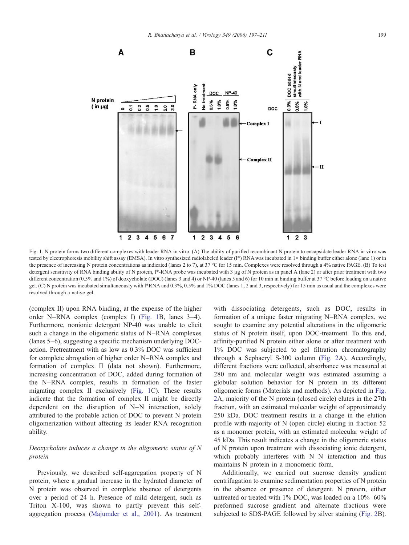<span id="page-2-0"></span>

Fig. 1. N protein forms two different complexes with leader RNA in vitro. (A) The ability of purified recombinant N protein to encapsidate leader RNA in vitro was tested by electrophoresis mobility shift assay (EMSA). In vitro synthesized radiolabeled leader (l\*) RNA was incubated in 1× binding buffer either alone (lane 1) or in the presence of increasing N protein concentrations as indicated (lanes 2 to 7), at 37 °C for 15 min. Complexes were resolved through a 4% native PAGE. (B) To test detergent sensitivity of RNA binding ability of N protein, l\*-RNA probe was incubated with 3 μg of N protein as in panel A (lane 2) or after prior treatment with two different concentration (0.5% and 1%) of deoxycholate (DOC) (lanes 3 and 4) or NP-40 (lanes 5 and 6) for 10 min in binding buffer at 37 °C before loading on a native gel. (C) N protein was incubated simultaneously with l\*RNA and 0.3%, 0.5% and 1% DOC (lanes 1, 2 and 3, respectively) for 15 min as usual and the complexes were resolved through a native gel.

(complex II) upon RNA binding, at the expense of the higher order N–RNA complex (complex I) (Fig. 1B, lanes 3–4). Furthermore, nonionic detergent NP-40 was unable to elicit such a change in the oligomeric status of N–RNA complexes (lanes 5–6), suggesting a specific mechanism underlying DOCaction. Pretreatment with as low as 0.3% DOC was sufficient for complete abrogation of higher order N–RNA complex and formation of complex II (data not shown). Furthermore, increasing concentration of DOC, added during formation of the N–RNA complex, results in formation of the faster migrating complex II exclusively (Fig. 1C). These results indicate that the formation of complex II might be directly dependent on the disruption of N–N interaction, solely attributed to the probable action of DOC to prevent N protein oligomerization without affecting its leader RNA recognition ability.

# Deoxycholate induces a change in the oligomeric status of N protein

Previously, we described self-aggregation property of N protein, where a gradual increase in the hydrated diameter of N protein was observed in complete absence of detergents over a period of 24 h. Presence of mild detergent, such as Triton X-100, was shown to partly prevent this selfaggregation process ([Majumder et al., 2001](#page-13-0)). As treatment

with dissociating detergents, such as DOC, results in formation of a unique faster migrating N–RNA complex, we sought to examine any potential alterations in the oligomeric status of N protein itself, upon DOC-treatment. To this end, affinity-purified N protein either alone or after treatment with 1% DOC was subjected to gel filtration chromatography through a Sephacryl S-300 column ([Fig. 2](#page-3-0)A). Accordingly, different fractions were collected, absorbance was measured at 280 nm and molecular weight was estimated assuming a globular solution behavior for N protein in its different oligomeric forms (Materials and methods). As depicted in [Fig.](#page-3-0) [2A](#page-3-0), majority of the N protein (closed circle) elutes in the 27th fraction, with an estimated molecular weight of approximately 250 kDa. DOC treatment results in a change in the elution profile with majority of N (open circle) eluting in fraction 52 as a monomer protein, with an estimated molecular weight of 45 kDa. This result indicates a change in the oligomeric status of N protein upon treatment with dissociating ionic detergent, which probably interferes with N–N interaction and thus maintains N protein in a monomeric form.

Additionally, we carried out sucrose density gradient centrifugation to examine sedimentation properties of N protein in the absence or presence of detergent. N protein, either untreated or treated with 1% DOC, was loaded on a 10%–60% preformed sucrose gradient and alternate fractions were subjected to SDS-PAGE followed by silver staining [\(Fig. 2](#page-3-0)B).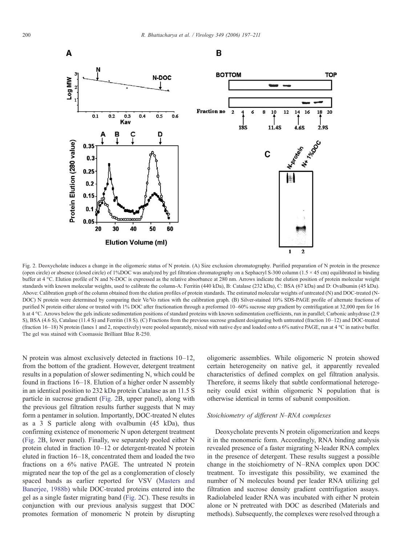<span id="page-3-0"></span>

Fig. 2. Deoxycholate induces a change in the oligomeric status of N protein. (A) Size exclusion chromatography. Purified preparation of N protein in the presence (open circle) or absence (closed circle) of 1%DOC was analyzed by gel filtration chromatography on a Sephacryl S-300 column (1.5  $\times$  45 cm) equilibrated in binding buffer at 4 °C. Elution profile of N and N-DOC is expressed as the relative absorbance at 280 nm. Arrows indicate the elution position of protein molecular weight standards with known molecular weights, used to calibrate the column-A: Ferritin (440 kDa), B: Catalase (232 kDa), C: BSA (67 kDa) and D: Ovalbumin (45 kDa). Above: Calibration graph of the column obtained from the elution profiles of protein standards. The estimated molecular weights of untreated (N) and DOC-treated (N-DOC) N protein were determined by comparing their Ve/Vo ratios with the calibration graph. (B) Silver-stained 10% SDS-PAGE profile of alternate fractions of purified N protein either alone or treated with 1% DOC after fractionation through a preformed 10–60% sucrose step gradient by centrifugation at 32,000 rpm for 16 h at 4 °C. Arrows below the gels indicate sedimentation positions of standard proteins with known sedimentation coefficients, run in parallel; Carbonic anhydrase (2.9) S), BSA (4.6 S), Catalase (11.4 S) and Ferritin (18 S). (C) Fractions from the previous sucrose gradient designating both untreated (fraction 10–12) and DOC-treated (fraction  $16-18$ ) N protein (lanes 1 and 2, respectively) were pooled separately, mixed with native dye and loaded onto a 6% native PAGE, run at 4 °C in native buffer. The gel was stained with Coomassie Brilliant Blue R-250.

N protein was almost exclusively detected in fractions 10–12, from the bottom of the gradient. However, detergent treatment results in a population of slower sedimenting N, which could be found in fractions 16–18. Elution of a higher order N assembly in an identical position to 232 kDa protein Catalase as an 11.5 S particle in sucrose gradient (Fig. 2B, upper panel), along with the previous gel filtration results further suggests that N may form a pentamer in solution. Importantly, DOC-treated N elutes as a 3 S particle along with ovalbumin (45 kDa), thus confirming existence of monomeric N upon detergent treatment (Fig. 2B, lower panel). Finally, we separately pooled either N protein eluted in fraction 10–12 or detergent-treated N protein eluted in fraction 16–18, concentrated them and loaded the two fractions on a 6% native PAGE. The untreated N protein migrated near the top of the gel as a conglomeration of closely spaced bands as earlier reported for VSV ([Masters and](#page-14-0) [Banerjee, 1988b\)](#page-14-0) while DOC-treated proteins entered into the gel as a single faster migrating band (Fig. 2C). These results in conjunction with our previous analysis suggest that DOC promotes formation of monomeric N protein by disrupting

oligomeric assemblies. While oligomeric N protein showed certain heterogeneity on native gel, it apparently revealed characteristics of defined complex on gel filtration analysis. Therefore, it seems likely that subtle conformational heterogeneity could exist within oligomeric N population that is otherwise identical in terms of subunit composition.

#### Stoichiometry of different N–RNA complexes

Deoxycholate prevents N protein oligomerization and keeps it in the monomeric form. Accordingly, RNA binding analysis revealed presence of a faster migrating N-leader RNA complex in the presence of detergent. These results suggest a possible change in the stoichiometry of N–RNA complex upon DOC treatment. To investigate this possibility, we examined the number of N molecules bound per leader RNA utilizing gel filtration and sucrose density gradient centrifugation assays. Radiolabeled leader RNA was incubated with either N protein alone or N pretreated with DOC as described (Materials and methods). Subsequently, the complexes were resolved through a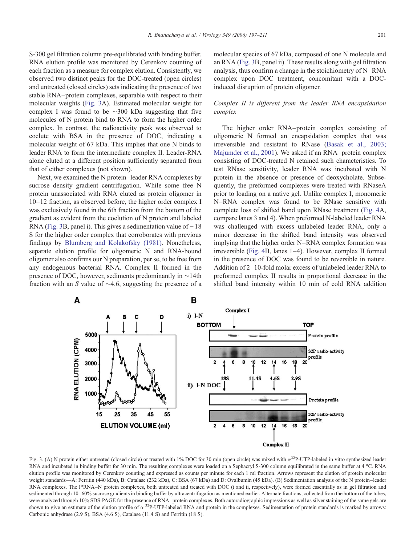S-300 gel filtration column pre-equilibrated with binding buffer. RNA elution profile was monitored by Cerenkov counting of each fraction as a measure for complex elution. Consistently, we observed two distinct peaks for the DOC-treated (open circles) and untreated (closed circles) sets indicating the presence of two stable RNA–protein complexes, separable with respect to their molecular weights (Fig. 3A). Estimated molecular weight for complex I was found to be ∼300 kDa suggesting that five molecules of N protein bind to RNA to form the higher order complex. In contrast, the radioactivity peak was observed to coelute with BSA in the presence of DOC, indicating a molecular weight of 67 kDa. This implies that one N binds to leader RNA to form the intermediate complex II. Leader-RNA alone eluted at a different position sufficiently separated from that of either complexes (not shown).

Next, we examined the N protein–leader RNA complexes by sucrose density gradient centrifugation. While some free N protein unassociated with RNA eluted as protein oligomer in 10–12 fraction, as observed before, the higher order complex I was exclusively found in the 6th fraction from the bottom of the gradient as evident from the coelution of N protein and labeled RNA (Fig. 3B, panel i). This gives a sedimentation value of ∼18 S for the higher order complex that corroborates with previous findings by [Blumberg and Kolakofsky \(1981\)](#page-13-0). Nonetheless, separate elution profile for oligomeric N and RNA-bound oligomer also confirms our N preparation, per se, to be free from any endogenous bacterial RNA. Complex II formed in the presence of DOC, however, sediments predominantly in ∼14th fraction with an S value of ∼4.6, suggesting the presence of a molecular species of 67 kDa, composed of one N molecule and an RNA (Fig. 3B, panel ii). These results along with gel filtration analysis, thus confirm a change in the stoichiometry of N–RNA complex upon DOC treatment, concomitant with a DOCinduced disruption of protein oligomer.

# Complex II is different from the leader RNA encapsidation complex

The higher order RNA–protein complex consisting of oligomeric N formed an encapsidation complex that was irreversible and resistant to RNase ([Basak et al., 2003;](#page-13-0) [Majumder et al., 2001](#page-13-0)). We asked if an RNA–protein complex consisting of DOC-treated N retained such characteristics. To test RNase sensitivity, leader RNA was incubated with N protein in the absence or presence of deoxycholate. Subsequently, the preformed complexes were treated with RNaseA prior to loading on a native gel. Unlike complex I, monomeric N–RNA complex was found to be RNase sensitive with complete loss of shifted band upon RNase treatment [\(Fig. 4A](#page-5-0), compare lanes 3 and 4). When preformed N-labeled leader RNA was challenged with excess unlabeled leader RNA, only a minor decrease in the shifted band intensity was observed implying that the higher order N–RNA complex formation was irreversible [\(Fig. 4](#page-5-0)B, lanes 1–4). However, complex II formed in the presence of DOC was found to be reversible in nature. Addition of 2–10-fold molar excess of unlabeled leader RNA to preformed complex II results in proportional decrease in the shifted band intensity within 10 min of cold RNA addition



Fig. 3. (A) N protein either untreated (closed circle) or treated with 1% DOC for 30 min (open circle) was mixed with  $\alpha^{32}$ P-UTP-labeled in vitro synthesized leader RNA and incubated in binding buffer for 30 min. The resulting complexes were loaded on a Sephacryl S-300 column equilibrated in the same buffer at 4 °C. RNA elution profile was monitored by Cerenkov counting and expressed as counts per minute for each 1 ml fraction. Arrows represent the elution of protein molecular weight standards—A: Ferritin (440 kDa), B: Catalase (232 kDa), C: BSA (67 kDa) and D: Ovalbumin (45 kDa). (B) Sedimentation analysis of the N protein–leader RNA complexes. The l\*RNA–N protein complexes, both untreated and treated with DOC (i and ii, respectively), were formed essentially as in gel filtration and sedimented through 10–60% sucrose gradients in binding buffer by ultracentrifugation as mentioned earlier. Alternate fractions, collected from the bottom of the tubes, were analyzed through 10% SDS-PAGE for the presence of RNA–protein complexes. Both autoradiographic impressions as well as silver staining of the same gels are shown to give an estimate of the elution profile of  $\alpha$ <sup>32</sup>P-UTP-labeled RNA and protein in the complexes. Sedimentation of protein standards is marked by arrows: Carbonic anhydrase (2.9 S), BSA (4.6 S), Catalase (11.4 S) and Ferritin (18 S).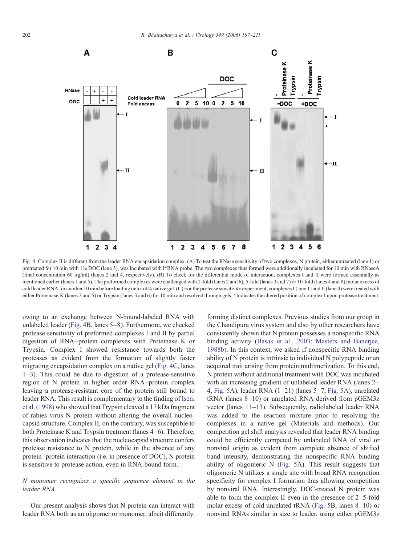<span id="page-5-0"></span>

Fig. 4. Complex II is different from the leader RNA encapsidation complex. (A) To test the RNase sensitivity of two complexes, N protein, either untreated (lane 1) or pretreated for 10 min with 1% DOC (lane 3), was incubated with l\*RNA probe. The two complexes thus formed were additionally incubated for 10 min with RNaseA (final concentration 60 μg/ml) (lanes 2 and 4, respectively). (B) To check for the differential mode of interaction, complexes I and II were formed essentially as mentioned earlier (lanes 1 and 5). The preformed complexes were challenged with 2-fold (lanes 2 and 6), 5-fold (lanes 3 and 7) or 10-fold (lanes 4 and 8) molar excess of cold leader RNA for another 10 min before loading onto a 4% native gel. (C) For the protease sensitivity experiment, complexes I (lane 1) and II (lane 4) were treated with either Proteinase-K (lanes 2 and 5) or Trypsin (lanes 3 and 6) for 10 min and resolved through gels. \*Indicates the altered position of complex I upon protease treatment.

owing to an exchange between N-bound-labeled RNA with unlabeled leader (Fig. 4B, lanes 5–8). Furthermore, we checked protease sensitivity of preformed complexes I and II by partial digestion of RNA–protein complexes with Proteinase K or Trypsin. Complex I showed resistance towards both the proteases as evident from the formation of slightly faster migrating encapsidation complex on a native gel (Fig. 4C, lanes 1–3). This could be due to digestion of a protease-sensitive region of N protein in higher order RNA–protein complex leaving a protease-resistant core of the protein still bound to leader RNA. This result is complementary to the finding of [Iseni](#page-13-0) [et al. \(1998\)](#page-13-0) who showed that Trypsin cleaved a 17 kDa fragment of rabies virus N protein without altering the overall nucleocapsid structure. Complex II, on the contrary, was susceptible to both Proteinase K and Trypsin treatment (lanes 4–6). Therefore, this observation indicates that the nucleocapsid structure confers protease resistance to N protein, while in the absence of any protein–protein interaction (i.e. in presence of DOC), N protein is sensitive to protease action, even in RNA-bound form.

# N monomer recognizes a specific sequence element in the leader RNA

Our present analysis shows that N protein can interact with leader RNA both as an oligomer or monomer, albeit differently, forming distinct complexes. Previous studies from our group in the Chandipura virus system and also by other researchers have consistently shown that N protein possesses a nonspecific RNA binding activity ([Basak et al., 2003; Masters and Banerjee,](#page-13-0) [1988b\)](#page-13-0). In this context, we asked if nonspecific RNA binding ability of N protein is intrinsic to individual N polypeptide or an acquired trait arising from protein multimerization. To this end, N protein without additional treatment with DOC was incubated with an increasing gradient of unlabeled leader RNA (lanes 2– 4, [Fig. 5A](#page-6-0)), leader RNA (1–21) (lanes 5–7, [Fig. 5A](#page-6-0)), unrelated tRNA (lanes 8–10) or unrelated RNA derived from pGEM3z vector (lanes 11–13). Subsequently, radiolabeled leader RNA was added to the reaction mixture prior to resolving the complexes in a native gel (Materials and methods). Our competition gel shift analysis revealed that leader RNA binding could be efficiently competed by unlabeled RNA of viral or nonviral origin as evident from complete absence of shifted band intensity, demonstrating the nonspecific RNA binding ability of oligomeric N [\(Fig. 5A](#page-6-0)). This result suggests that oligomeric N utilizes a single site with broad RNA recognition specificity for complex I formation thus allowing competition by nonviral RNA. Interestingly, DOC-treated N protein was able to form the complex II even in the presence of 2–5-fold molar excess of cold unrelated tRNA ([Fig. 5B](#page-6-0), lanes 8–10) or nonviral RNAs similar in size to leader, using either pGEM3z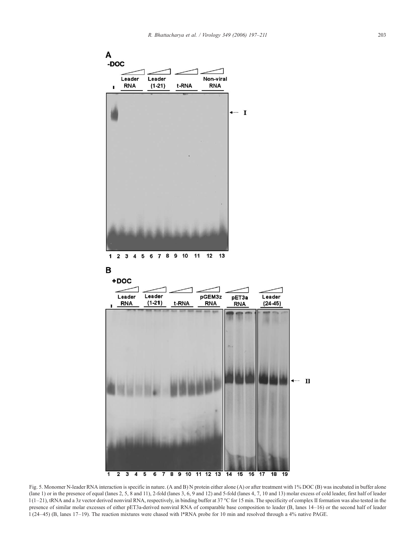<span id="page-6-0"></span>

Fig. 5. Monomer N-leader RNA interaction is specific in nature. (A and B) N protein either alone (A) or after treatment with 1% DOC (B) was incubated in buffer alone (lane 1) or in the presence of equal (lanes 2, 5, 8 and 11), 2-fold (lanes 3, 6, 9 and 12) and 5-fold (lanes 4, 7, 10 and 13) molar excess of cold leader, first half of leader l (1–21), tRNA and a 3z vector derived nonviral RNA, respectively, in binding buffer at 37 °C for 15 min. The specificity of complex II formation was also tested in the presence of similar molar excesses of either pET3a-derived nonviral RNA of comparable base composition to leader (B, lanes 14–16) or the second half of leader l (24–45) (B, lanes 17–19). The reaction mixtures were chased with l\*RNA probe for 10 min and resolved through a 4% native PAGE.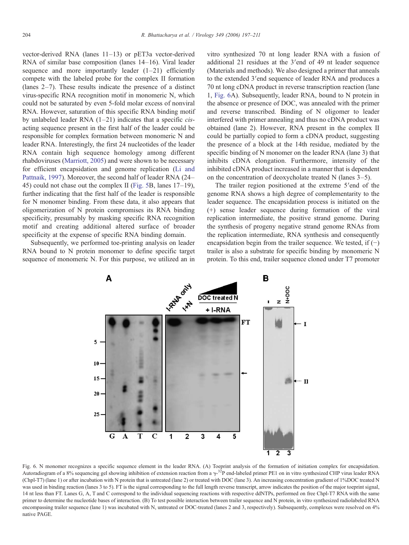<span id="page-7-0"></span>vector-derived RNA (lanes 11–13) or pET3a vector-derived RNA of similar base composition (lanes 14–16). Viral leader sequence and more importantly leader  $(1-21)$  efficiently compete with the labeled probe for the complex II formation (lanes 2–7). These results indicate the presence of a distinct virus-specific RNA recognition motif in monomeric N, which could not be saturated by even 5-fold molar excess of nonviral RNA. However, saturation of this specific RNA binding motif by unlabeled leader RNA  $(1–21)$  indicates that a specific *cis*acting sequence present in the first half of the leader could be responsible for complex formation between monomeric N and leader RNA. Interestingly, the first 24 nucleotides of the leader RNA contain high sequence homology among different rhabdoviruses ([Marriott, 2005](#page-14-0)) and were shown to be necessary for efficient encapsidation and genome replication [\(Li and](#page-13-0) [Pattnaik, 1997\)](#page-13-0). Moreover, the second half of leader RNA (24– 45) could not chase out the complex II ([Fig. 5](#page-6-0)B, lanes 17–19), further indicating that the first half of the leader is responsible for N monomer binding. From these data, it also appears that oligomerization of N protein compromises its RNA binding specificity, presumably by masking specific RNA recognition motif and creating additional altered surface of broader specificity at the expense of specific RNA binding domain.

Subsequently, we performed toe-printing analysis on leader RNA bound to N protein monomer to define specific target sequence of monomeric N. For this purpose, we utilized an in

vitro synthesized 70 nt long leader RNA with a fusion of additional 21 residues at the 3′end of 49 nt leader sequence (Materials and methods). We also designed a primer that anneals to the extended 3′end sequence of leader RNA and produces a 70 nt long cDNA product in reverse transcription reaction (lane 1, Fig. 6A). Subsequently, leader RNA, bound to N protein in the absence or presence of DOC, was annealed with the primer and reverse transcribed. Binding of N oligomer to leader interfered with primer annealing and thus no cDNA product was obtained (lane 2). However, RNA present in the complex II could be partially copied to form a cDNA product, suggesting the presence of a block at the 14th residue, mediated by the specific binding of N monomer on the leader RNA (lane 3) that inhibits cDNA elongation. Furthermore, intensity of the inhibited cDNA product increased in a manner that is dependent on the concentration of deoxycholate treated N (lanes 3–5).

The trailer region positioned at the extreme 5′end of the genome RNA shows a high degree of complementarity to the leader sequence. The encapsidation process is initiated on the (+) sense leader sequence during formation of the viral replication intermediate, the positive strand genome. During the synthesis of progeny negative strand genome RNAs from the replication intermediate, RNA synthesis and consequently encapsidation begin from the trailer sequence. We tested, if  $(-)$ trailer is also a substrate for specific binding by monomeric N protein. To this end, trailer sequence cloned under T7 promoter



Fig. 6. N monomer recognizes a specific sequence element in the leader RNA. (A) Toeprint analysis of the formation of initiation complex for encapsidation. Autoradiogram of a 8% sequencing gel showing inhibition of extension reaction from a γ-<sup>32</sup>P end-labeled primer PE1 on in vitro synthesized CHP virus leader RNA (Chpl-T7) (lane 1) or after incubation with N protein that is untreated (lane 2) or treated with DOC (lane 3). An increasing concentration gradient of 1%DOC treated N was used in binding reaction (lanes 3 to 5). FT is the signal corresponding to the full length reverse transcript, arrow indicates the position of the major toeprint signal, 14 nt less than FT. Lanes G, A, T and C correspond to the individual sequencing reactions with respective ddNTPs, performed on free Chpl-T7 RNA with the same primer to determine the nucleotide bases of interaction. (B) To test possible interaction between trailer sequence and N protein, in vitro synthesized radiolabeled RNA encompassing trailer sequence (lane 1) was incubated with N, untreated or DOC-treated (lanes 2 and 3, respectively). Subsequently, complexes were resolved on 4% native PAGE.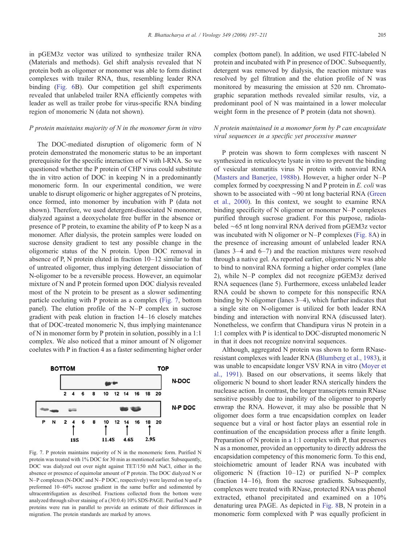<span id="page-8-0"></span>in pGEM3z vector was utilized to synthesize trailer RNA (Materials and methods). Gel shift analysis revealed that N protein both as oligomer or monomer was able to form distinct complexes with trailer RNA, thus, resembling leader RNA binding [\(Fig. 6](#page-7-0)B). Our competition gel shift experiments revealed that unlabeled trailer RNA efficiently competes with leader as well as trailer probe for virus-specific RNA binding region of monomeric N (data not shown).

#### P protein maintains majority of  $N$  in the monomer form in vitro

The DOC-mediated disruption of oligomeric form of N protein demonstrated the monomeric status to be an important prerequisite for the specific interaction of N with l-RNA. So we questioned whether the P protein of CHP virus could substitute the in vitro action of DOC in keeping N in a predominantly monomeric form. In our experimental condition, we were unable to disrupt oligomeric or higher aggregates of N proteins, once formed, into monomer by incubation with P (data not shown). Therefore, we used detergent-dissociated N monomer, dialyzed against a deoxycholate free buffer in the absence or presence of P protein, to examine the ability of P to keep N as a monomer. After dialysis, the protein samples were loaded on sucrose density gradient to test any possible change in the oligomeric status of the N protein. Upon DOC removal in absence of P, N protein eluted in fraction 10–12 similar to that of untreated oligomer, thus implying detergent dissociation of N-oligomer to be a reversible process. However, an equimolar mixture of N and P protein formed upon DOC dialysis revealed most of the N protein to be present as a slower sedimenting particle coeluting with P protein as a complex (Fig. 7, bottom panel). The elution profile of the N–P complex in sucrose gradient with peak elution in fraction 14–16 closely matches that of DOC-treated monomeric N, thus implying maintenance of N in monomer form by P protein in solution, possibly in a 1:1 complex. We also noticed that a minor amount of N oligomer coelutes with P in fraction 4 as a faster sedimenting higher order



Fig. 7. P protein maintains majority of N in the monomeric form. Purified N protein was treated with 1% DOC for 30 min as mentioned earlier. Subsequently, DOC was dialyzed out over night against TET/150 mM NaCl, either in the absence or presence of equimolar amount of P protein. The DOC dialyzed N or N–P complexes (N-DOC and N–P DOC, respectively) were layered on top of a preformed 10–60% sucrose gradient in the same buffer and sedimented by ultracentrifugation as described. Fractions collected from the bottom were analyzed through silver staining of a (30:0.4) 10% SDS-PAGE. Purified N and P proteins were run in parallel to provide an estimate of their differences in migration. The protein standards are marked by arrows.

complex (bottom panel). In addition, we used FITC-labeled N protein and incubated with P in presence of DOC. Subsequently, detergent was removed by dialysis, the reaction mixture was resolved by gel filtration and the elution profile of N was monitored by measuring the emission at 520 nm. Chromatographic separation methods revealed similar results, viz, a predominant pool of N was maintained in a lower molecular weight form in the presence of P protein (data not shown).

# N protein maintained in a monomer form by P can encapsidate viral sequences in a specific yet processive manner

P protein was shown to form complexes with nascent N synthesized in reticulocyte lysate in vitro to prevent the binding of vesicular stomatitis virus N protein with nonviral RNA ([Masters and Banerjee, 1988b\)](#page-14-0). However, a higher order N–P complex formed by coexpressing N and P protein in E. coli was shown to be associated with ∼90 nt long bacterial RNA [\(Green](#page-13-0) [et al., 2000](#page-13-0)). In this context, we sought to examine RNA binding specificity of N oligomer or monomer N–P complexes purified through sucrose gradient. For this purpose, radiolabeled ∼65 nt long nonviral RNA derived from pGEM3z vector was incubated with N oligomer or N–P complexes ([Fig. 8A](#page-9-0)) in the presence of increasing amount of unlabeled leader RNA (lanes 3–4 and 6–7) and the reaction mixtures were resolved through a native gel. As reported earlier, oligomeric N was able to bind to nonviral RNA forming a higher order complex (lane 2), while N–P complex did not recognize pGEM3z derived RNA sequences (lane 5). Furthermore, excess unlabeled leader RNA could be shown to compete for this nonspecific RNA binding by N oligomer (lanes 3–4), which further indicates that a single site on N-oligomer is utilized for both leader RNA binding and interaction with nonviral RNA (discussed later). Nonetheless, we confirm that Chandipura virus N protein in a 1:1 complex with P is identical to DOC-disrupted monomeric N in that it does not recognize nonviral sequences.

Although, aggregated N protein was shown to form RNaseresistant complexes with leader RNA ([Blumberg et al., 1983](#page-13-0)), it was unable to encapsidate longer VSV RNA in vitro [\(Moyer et](#page-14-0) [al., 1991\)](#page-14-0). Based on our observations, it seems likely that oligomeric N bound to short leader RNA sterically hinders the nuclease action. In contrast, the longer transcripts remain RNase sensitive possibly due to inability of the oligomer to properly enwrap the RNA. However, it may also be possible that N oligomer does form a true encapsidation complex on leader sequence but a viral or host factor plays an essential role in continuation of the encapsidation process after a finite length. Preparation of N protein in a 1:1 complex with P, that preserves N as a monomer, provided an opportunity to directly address the encapsidation competency of this monomeric form. To this end, stoichiometric amount of leader RNA was incubated with oligomeric N (fraction  $10-12$ ) or purified N–P complex (fraction 14–16), from the sucrose gradients. Subsequently, complexes were treated with RNase, protected RNA was phenol extracted, ethanol precipitated and examined on a 10% denaturing urea PAGE. As depicted in [Fig. 8B](#page-9-0), N protein in a monomeric form complexed with P was equally proficient in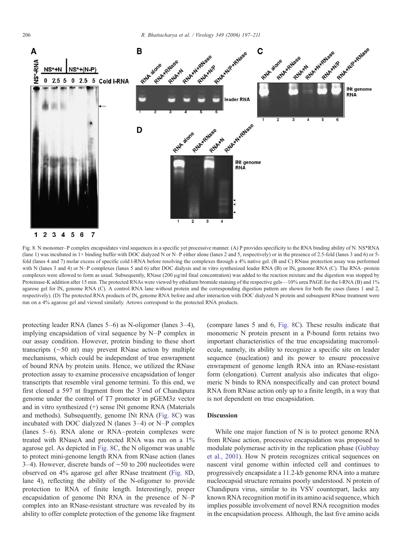<span id="page-9-0"></span>

Fig. 8. N monomer–P complex encapsidates viral sequences in a specific yet processive manner. (A) P provides specificity to the RNA binding ability of N. NS\*RNA (lane 1) was incubated in 1× binding buffer with DOC dialyzed N or N–P either alone (lanes 2 and 5, respectively) or in the presence of 2.5-fold (lanes 3 and 6) or 5 fold (lanes 4 and 7) molar excess of specific cold l-RNA before resolving the complexes through a 4% native gel. (B and C) RNase protection assay was performed with N (lanes 3 and 4) or N–P complexes (lanes 5 and 6) after DOC dialysis and in vitro synthesized leader RNA (B) or  $N_t$  genome RNA (C). The RNA–protein complexes were allowed to form as usual. Subsequently, RNase (200 μg/ml final concentration) was added to the reaction mixture and the digestion was stopped by Proteinase-K addition after 15 min. The protected RNAs were viewed by ethidium bromide staining of the respective gels—10% urea PAGE for the l-RNA (B) and 1% agarose gel for IN<sub>t</sub> genome RNA (C). A control RNA lane without protein and the corresponding digestion pattern are shown for both the cases (lanes 1 and 2, respectively). (D) The protected RNA products of  $IN_t$  genome RNA before and after interaction with DOC dialyzed N protein and subsequent RNase treatment were run on a 4% agarose gel and viewed similarly. Arrows correspond to the protected RNA products.

protecting leader RNA (lanes 5–6) as N-oligomer (lanes 3–4), implying encapsidation of viral sequence by N–P complex in our assay condition. However, protein binding to these short transcripts (∼50 nt) may prevent RNase action by multiple mechanisms, which could be independent of true enwrapment of bound RNA by protein units. Hence, we utilized the RNase protection assay to examine processive encapsidation of longer transcripts that resemble viral genome termini. To this end, we first cloned a 597 nt fragment from the 3′end of Chandipura genome under the control of T7 promoter in pGEM3z vector and in vitro synthesized (+) sense lNt genome RNA (Materials and methods). Subsequently, genome lNt RNA (Fig. 8C) was incubated with DOC dialyzed N (lanes 3–4) or N–P complex (lanes 5–6). RNA alone or RNA–protein complexes were treated with RNaseA and protected RNA was run on a 1% agarose gel. As depicted in Fig. 8C, the N oligomer was unable to protect mini-genome length RNA from RNase action (lanes 3–4). However, discrete bands of ∼50 to 200 nucleotides were observed on 4% agarose gel after RNase treatment (Fig. 8D, lane 4), reflecting the ability of the N-oligomer to provide protection to RNA of finite length. Interestingly, proper encapsidation of genome lNt RNA in the presence of N–P complex into an RNase-resistant structure was revealed by its ability to offer complete protection of the genome like fragment (compare lanes 5 and 6, Fig. 8C). These results indicate that monomeric N protein present in a P-bound form retains two important characteristics of the true encapsidating macromolecule, namely, its ability to recognize a specific site on leader sequence (nucleation) and its power to ensure processive enwrapment of genome length RNA into an RNase-resistant form (elongation). Current analysis also indicates that oligomeric N binds to RNA nonspecifically and can protect bound RNA from RNase action only up to a finite length, in a way that is not dependent on true encapsidation.

# **Discussion**

While one major function of N is to protect genome RNA from RNase action, processive encapsidation was proposed to modulate polymerase activity in the replication phase [\(Gubbay](#page-13-0) [et al., 2001\)](#page-13-0). How N protein recognizes critical sequences on nascent viral genome within infected cell and continues to progressively encapsidate a 11.2-kb genome RNA into a mature nucleocapsid structure remains poorly understood. N protein of Chandipura virus, similar to its VSV counterpart, lacks any known RNA recognition motif in its amino acid sequence, which implies possible involvement of novel RNA recognition modes in the encapsidation process. Although, the last five amino acids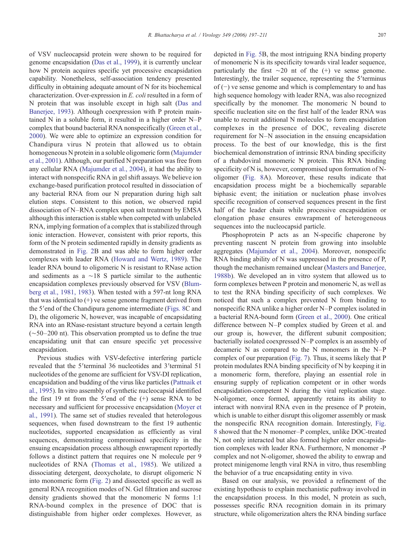of VSV nucleocapsid protein were shown to be required for genome encapsidation [\(Das et al., 1999](#page-13-0)), it is currently unclear how N protein acquires specific yet processive encapsidation capability. Nonetheless, self-association tendency presented difficulty in obtaining adequate amount of N for its biochemical characterization. Over-expression in E. coli resulted in a form of N protein that was insoluble except in high salt ([Das and](#page-13-0) [Banerjee, 1993\)](#page-13-0). Although coexpression with P protein maintained N in a soluble form, it resulted in a higher order N–P complex that bound bacterial RNA nonspecifically [\(Green et al.,](#page-13-0) [2000](#page-13-0)). We were able to optimize an expression condition for Chandipura virus N protein that allowed us to obtain homogeneous N protein in a soluble oligomeric form [\(Majumder](#page-13-0) [et al., 2001\)](#page-13-0). Although, our purified N preparation was free from any cellular RNA [\(Majumder et al., 2004](#page-14-0)), it had the ability to interact with nonspecific RNA in gel shift assays. We believe ion exchange-based purification protocol resulted in dissociation of any bacterial RNA from our N preparation during high salt elution steps. Consistent to this notion, we observed rapid dissociation of N–RNA complex upon salt treatment by EMSA although this interaction is stable when competed with unlabeled RNA, implying formation of a complex that is stabilized through ionic interaction. However, consistent with prior reports, this form of the N protein sedimented rapidly in density gradients as demonstrated in [Fig. 2](#page-3-0)B and was able to form higher order complexes with leader RNA ([Howard and Wertz, 1989\)](#page-13-0). The leader RNA bound to oligomeric N is resistant to RNase action and sediments as a ∼18 S particle similar to the authentic encapsidation complexes previously observed for VSV [\(Blum](#page-13-0)[berg et al., 1981, 1983\)](#page-13-0). When tested with a 597-nt long RNA that was identical to  $(+)$  ve sense genome fragment derived from the 5′end of the Chandipura genome intermediate [\(Figs. 8](#page-9-0)C and D), the oligomeric N, however, was incapable of encapsidating RNA into an RNase-resistant structure beyond a certain length (∼50–200 nt). This observation prompted us to define the true encapsidating unit that can ensure specific yet processive encapsidation.

Previous studies with VSV-defective interfering particle revealed that the 5′terminal 36 nucleotides and 3′terminal 51 nucleotides of the genome are sufficient for VSV-DI replication, encapsidation and budding of the virus like particles [\(Pattnaik et](#page-14-0) [al., 1995\)](#page-14-0). In vitro assembly of synthetic nucleocapsid identified the first 19 nt from the 5′end of the (+) sense RNA to be necessary and sufficient for processive encapsidation ([Moyer et](#page-14-0) [al., 1991](#page-14-0)). The same set of studies revealed that heterologous sequences, when fused downstream to the first 19 authentic nucleotides, supported encapsidation as efficiently as viral sequences, demonstrating compromised specificity in the ensuing encapsidation process although enwrapment reportedly follows a distinct pattern that requires one N molecule per 9 nucleotides of RNA ([Thomas et al., 1985](#page-14-0)). We utilized a dissociating detergent, deoxycholate, to disrupt oligomeric N into monomeric form [\(Fig. 2\)](#page-3-0) and dissected specific as well as general RNA recognition modes of N. Gel filtration and sucrose density gradients showed that the monomeric N forms 1:1 RNA-bound complex in the presence of DOC that is distinguishable from higher order complexes. However, as

depicted in [Fig. 5B](#page-6-0), the most intriguing RNA binding property of monomeric N is its specificity towards viral leader sequence, particularly the first  $\sim$ 20 nt of the (+) ve sense genome. Interestingly, the trailer sequence, representing the 5′terminus of (−) ve sense genome and which is complementary to and has high sequence homology with leader RNA, was also recognized specifically by the monomer. The monomeric N bound to specific nucleation site on the first half of the leader RNA was unable to recruit additional N molecules to form encapsidation complexes in the presence of DOC, revealing discrete requirement for N–N association in the ensuing encapsidation process. To the best of our knowledge, this is the first biochemical demonstration of intrinsic RNA binding specificity of a rhabdoviral monomeric N protein. This RNA binding specificity of N is, however, compromised upon formation of Noligomer ([Fig. 8](#page-9-0)A). Moreover, these results indicate that encapsidation process might be a biochemically separable biphasic event; the initiation or nucleation phase involves specific recognition of conserved sequences present in the first half of the leader chain while processive encapsidation or elongation phase ensures enwrapment of heterogeneous sequences into the nucleocapsid particle.

Phosphoprotein P acts as an N-specific chaperone by preventing nascent N protein from growing into insoluble aggregates [\(Majumder et al., 2004](#page-14-0)). Moreover, nonspecific RNA binding ability of N was suppressed in the presence of P, though the mechanism remained unclear [\(Masters and Banerjee,](#page-14-0) [1988b](#page-14-0)). We developed an in vitro system that allowed us to form complexes between P protein and monomeric N, as well as to test the RNA binding specificity of such complexes. We noticed that such a complex prevented N from binding to nonspecific RNA unlike a higher order N–P complex isolated in a bacterial RNA-bound form ([Green et al., 2000\)](#page-13-0). One critical difference between N–P complex studied by Green et al. and our group is, however, the different subunit composition; bacterially isolated coexpressed N–P complex is an assembly of decameric N as compared to the N monomers in the N–P complex of our preparation ([Fig. 7\)](#page-8-0). Thus, it seems likely that P protein modulates RNA binding specificity of N by keeping it in a monomeric form, therefore, playing an essential role in ensuring supply of replication competent or in other words encapsidation-competent N during the viral replication stage. N-oligomer, once formed, apparently retains its ability to interact with nonviral RNA even in the presence of P protein, which is unable to either disrupt this oligomer assembly or mask the nonspecific RNA recognition domain. Interestingly, [Fig.](#page-9-0) [8](#page-9-0) showed that the N monomer–P complex, unlike DOC-treated N, not only interacted but also formed higher order encapsidation complexes with leader RNA. Furthermore, N monomer -P complex and not N-oligomer, showed the ability to enwrap and protect minigenome length viral RNA in vitro, thus resembling the behavior of a true encapsidating entity in vivo.

Based on our analysis, we provided a refinement of the existing hypothesis to explain mechanistic pathway involved in the encapsidation process. In this model, N protein as such, possesses specific RNA recognition domain in its primary structure, while oligomerization alters the RNA binding surface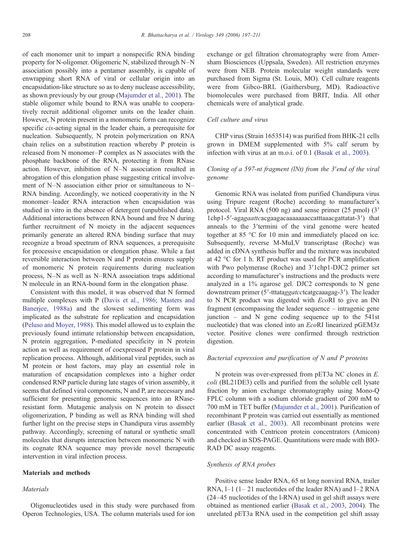of each monomer unit to impart a nonspecific RNA binding property for N-oligomer. Oligomeric N, stabilized through N–N association possibly into a pentamer assembly, is capable of enwrapping short RNA of viral or cellular origin into an encapsidation-like structure so as to deny nuclease accessibility, as shown previously by our group ([Majumder et al., 2001](#page-13-0)). The stable oligomer while bound to RNA was unable to cooperatively recruit additional oligomer units on the leader chain. However, N protein present in a monomeric form can recognize specific *cis*-acting signal in the leader chain, a prerequisite for nucleation. Subsequently, N protein polymerization on RNA chain relies on a substitution reaction whereby P protein is released from N monomer–P complex as N associates with the phosphate backbone of the RNA, protecting it from RNase action. However, inhibition of N–N association resulted in abrogation of this elongation phase suggesting critical involvement of N–N association either prior or simultaneous to N– RNA binding. Accordingly, we noticed cooperativity in the N monomer–leader RNA interaction when encapsidation was studied in vitro in the absence of detergent (unpublished data). Additional interactions between RNA bound and free N during further recruitment of N moiety in the adjacent sequences primarily generate an altered RNA binding surface that may recognize a broad spectrum of RNA sequences, a prerequisite for processive encapsidation or elongation phase. While a fast reversible interaction between N and P protein ensures supply of monomeric N protein requirements during nucleation process, N–N as well as N–RNA association traps additional N molecule in an RNA-bound form in the elongation phase.

Consistent with this model, it was observed that N formed multiple complexes with P ([Davis et al., 1986; Masters and](#page-13-0) [Banerjee, 1988a\)](#page-13-0) and the slowest sedimenting form was implicated as the substrate for replication and encapsidation ([Peluso and Moyer, 1988\)](#page-14-0). This model allowed us to explain the previously found intimate relationship between encapsidation, N protein aggregation, P-mediated specificity in N protein action as well as requirement of coexpressed P protein in viral replication process. Although, additional viral peptides, such as M protein or host factors, may play an essential role in maturation of encapsidation complexes into a higher order condensed RNP particle during late stages of virion assembly, it seems that defined viral components, N and P, are necessary and sufficient for presenting genomic sequences into an RNaseresistant form. Mutagenic analysis on N protein to dissect oligomerization, P binding as well as RNA binding will shed further light on the precise steps in Chandipura virus assembly pathway. Accordingly, screening of natural or synthetic small molecules that disrupts interaction between monomeric N with its cognate RNA sequence may provide novel therapeutic intervention in viral infection process.

#### Materials and methods

# **Materials**

Oligonucleotides used in this study were purchased from Operon Technologies, USA. The column materials used for ion exchange or gel filtration chromatography were from Amersham Biosciences (Uppsala, Sweden). All restriction enzymes were from NEB. Protein molecular weight standards were purchased from Sigma (St. Louis, MO). Cell culture reagents were from Gibco-BRL (Gaithersburg, MD). Radioactive biomolecules were purchased from BRIT, India. All other chemicals were of analytical grade.

### Cell culture and virus

CHP virus (Strain 1653514) was purified from BHK-21 cells grown in DMEM supplemented with 5% calf serum by infection with virus at an m.o.i. of 0.1 [\(Basak et al., 2003](#page-13-0)).

# Cloning of a 597-nt fragment (lNt) from the 3′end of the viral genome

Genomic RNA was isolated from purified Chandipura virus using Tripure reagent (Roche) according to manufacturer's protocol. Viral RNA (500 ng) and sense primer (25 pmol) (3′ 1chp1-5′-agagaattcacgaagacaaaaaaaccatttaaacgattatat-3′) that anneals to the 3′termini of the viral genome were heated together at 85 °C for 10 min and immediately placed on ice. Subsequently, reverse M-MuLV transcriptase (Roche) was added in cDNA synthesis buffer and the mixture was incubated at 42 °C for 1 h. RT product was used for PCR amplification with Pwo polymerase (Roche) and 3'1chp1-DJC2 primer set according to manufacturer's instructions and the products were analyzed in a 1% agarose gel. DJC2 corresponds to N gene downstream primer (5′-tttataggatcctcatgcaaagag-3′). The leader to N PCR product was digested with EcoRI to give an lNt fragment (encompassing the leader sequence – intragenic gene junction – and N gene coding sequence up to the 541st nucleotide) that was cloned into an EcoRI linearized pGEM3z vector. Positive clones were confirmed through restriction digestion.

# Bacterial expression and purification of N and P proteins

N protein was over-expressed from pET3a NC clones in E. coli (BL21DE3) cells and purified from the soluble cell lysate fraction by anion exchange chromatography using Mono-Q FPLC column with a sodium chloride gradient of 200 mM to 700 mM in TET buffer [\(Majumder et al., 2001](#page-13-0)). Purification of recombinant P protein was carried out essentially as mentioned earlier ([Basak et al., 2003\)](#page-13-0). All recombinant proteins were concentrated with Centricon protein concentrators (Amicon) and checked in SDS-PAGE. Quantitations were made with BIO-RAD DC assay reagents.

# Synthesis of RNA probes

Positive sense leader RNA, 65 nt long nonviral RNA, trailer RNA, l–1 (1– 21 nucleotides of the leader RNA) and l–2 RNA (24–45 nucleotides of the l-RNA) used in gel shift assays were obtained as mentioned earlier [\(Basak et al., 2003, 2004](#page-13-0)). The unrelated pET3a RNA used in the competition gel shift assay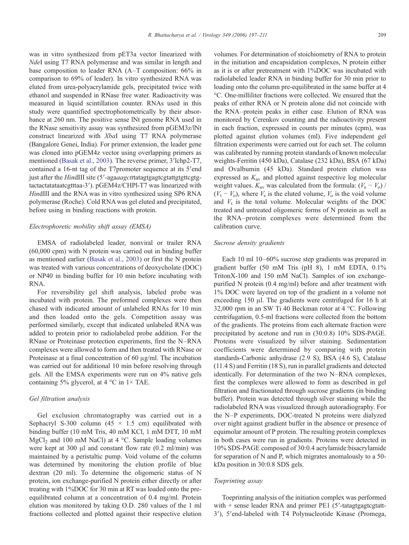was in vitro synthesized from pET3a vector linearized with NdeI using T7 RNA polymerase and was similar in length and base composition to leader RNA (A–T composition: 66% in comparison to 69% of leader). In vitro synthesized RNA was eluted from urea-polyacrylamide gels, precipitated twice with ethanol and suspended in RNase free water. Radioactivity was measured in liquid scintillation counter. RNAs used in this study were quantified spectrophotometrically by their absorbance at 260 nm. The positive sense lNt genome RNA used in the RNase sensitivity assay was synthesized from pGEM3z/lNt construct linearized with XbaI using T7 RNA polymerase (Bangalore Genei, India). For primer extension, the leader gene was cloned into pGEM4z vector using overlapping primers as mentioned ([Basak et al., 2003\)](#page-13-0). The reverse primer, 3′lchp2-T7, contained a 16-nt tag of the T7promoter sequence at its 5′end just after the HindIII site (5'-agaaagctttatagtgagtcgtattgtgttcgtgtactactatataatcgtttaa-3′). pGEM4z/CHPl-T7 was linearized with HindIII and the RNA was in vitro synthesized using SP6 RNA polymerase (Roche). Cold RNA was gel eluted and precipitated, before using in binding reactions with protein.

#### Electrophoretic mobility shift assay (EMSA)

EMSA of radiolabeled leader, nonviral or trailer RNA (60,000 cpm) with N protein was carried out in binding buffer as mentioned earlier [\(Basak et al., 2003](#page-13-0)) or first the N protein was treated with various concentrations of deoxycholate (DOC) or NP40 in binding buffer for 10 min before incubating with RNA.

For reversibility gel shift analysis, labeled probe was incubated with protein. The preformed complexes were then chased with indicated amount of unlabeled RNAs for 10 min and then loaded onto the gels. Competition assay was performed similarly, except that indicated unlabeled RNA was added to protein prior to radiolabeled probe addition. For the RNase or Proteinase protection experiments, first the N–RNA complexes were allowed to form and then treated with RNase or Proteinase at a final concentration of 60 μg/ml. The incubation was carried out for additional 10 min before resolving through gels. All the EMSA experiments were run on 4% native gels containing 5% glycerol, at 4  $\degree$ C in 1× TAE.

## Gel filtration analysis

Gel exclusion chromatography was carried out in a Sephacryl S-300 column (45  $\times$  1.5 cm) equilibrated with binding buffer (10 mM Tris, 40 mM KCl, 1 mM DTT, 10 mM MgCl<sub>2</sub> and 100 mM NaCl) at 4 °C. Sample loading volumes were kept at 300 μl and constant flow rate (0.2 ml/min) was maintained by a peristaltic pump. Void volume of the column was determined by monitoring the elution profile of blue dextran (20 ml). To determine the oligomeric status of N protein, ion exchange-purified N protein either directly or after treating with 1%DOC for 30 min at RT was loaded onto the preequilibrated column at a concentration of 0.4 mg/ml. Protein elution was monitored by taking O.D. 280 values of the 1 ml fractions collected and plotted against their respective elution volumes. For determination of stoichiometry of RNA to protein in the initiation and encapsidation complexes, N protein either as it is or after pretreatment with 1%DOC was incubated with radiolabeled leader RNA in binding buffer for 30 min prior to loading onto the column pre-equilibrated in the same buffer at 4 °C. One-milliliter fractions were collected. We ensured that the peaks of either RNA or N protein alone did not coincide with the RNA–protein peaks in either case. Elution of RNA was monitored by Cerenkov counting and the radioactivity present in each fraction, expressed in counts per minutes (cpm), was plotted against elution volumes (ml). Five independent gel filtration experiments were carried out for each set. The column was calibrated by running protein standards of known molecular weights-Ferritin (450 kDa), Catalase (232 kDa), BSA (67 kDa) and Ovalbumin (45 kDa). Standard protein elution was expressed as  $K_{av}$  and plotted against respective log molecular weight values.  $K_{\text{av}}$  was calculated from the formula:  $(V_{\text{e}} - V_{\text{o}})$  /  $(V_t - V_0)$ , where  $V_e$  is the eluted volume,  $V_0$  is the void volume and  $V_t$  is the total volume. Molecular weights of the DOC treated and untreated oligomeric forms of N protein as well as the RNA–protein complexes were determined from the calibration curve.

#### Sucrose density gradients

Each 10 ml 10–60% sucrose step gradients was prepared in gradient buffer (50 mM Tris (pH 8), 1 mM EDTA, 0.1% TritonX-100 and 150 mM NaCl). Samples of ion exchangepurified N protein (0.4 mg/ml) before and after treatment with 1% DOC were layered on top of the gradient in a volume not exceeding 150 μl. The gradients were centrifuged for 16 h at 32,000 rpm in an SW Ti 40 Beckman rotor at 4 °C. Following centrifugation, 0.5-ml fractions were collected from the bottom of the gradients. The proteins from each alternate fraction were precipitated by acetone and run in (30:0.8) 10% SDS-PAGE. Proteins were visualized by silver staining. Sedimentation coefficients were determined by comparing with protein standards-Carbonic anhydrase (2.9 S), BSA (4.6 S), Catalase (11.4 S) and Ferritin (18 S), run in parallel gradients and detected identically. For determination of the two N–RNA complexes, first the complexes were allowed to form as described in gel filtration and fractionated through sucrose gradients (in binding buffer). Protein was detected through silver staining while the radiolabeled RNA was visualized through autoradiography. For the N–P experiments, DOC-treated N proteins were dialyzed over night against gradient buffer in the absence or presence of equimolar amount of P protein. The resulting protein complexes in both cases were run in gradients. Proteins were detected in 10% SDS-PAGE composed of 30:0.4 acrylamide:bisacrylamide for separation of N and P, which migrates anomalously to a 50 kDa position in 30:0.8 SDS gels.

#### Toeprinting assay

Toeprinting analysis of the initiation complex was performed with + sense leader RNA and primer PE1 (5'-tatagtgagtcgtatt-3′), 5′end-labeled with T4 Polynucleotide Kinase (Promega,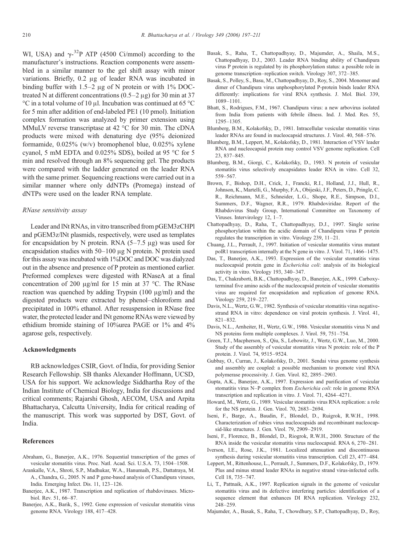<span id="page-13-0"></span>WI, USA) and  $\gamma$ -<sup>32</sup>P ATP (4500 Ci/mmol) according to the manufacturer's instructions. Reaction components were assembled in a similar manner to the gel shift assay with minor variations. Briefly, 0.2 μg of leader RNA was incubated in binding buffer with 1.5–2 μg of N protein or with 1% DOCtreated N at different concentrations  $(0.5-2 \mu g)$  for 30 min at 37 °C in a total volume of 10 μl. Incubation was continued at 65 °C for 5 min after addition of end-labeled PE1 (10 pmol). Initiation complex formation was analyzed by primer extension using MMuLV reverse transcriptase at 42 °C for 30 min. The cDNA products were mixed with denaturing dye (95% deionized formamide,  $0.025\%$  (w/v) bromophenol blue,  $0.025\%$  xylene cyanol, 5 mM EDTA and 0.025% SDS), boiled at 95 °C for 5 min and resolved through an 8% sequencing gel. The products were compared with the ladder generated on the leader RNA with the same primer. Sequencing reactions were carried out in a similar manner where only ddNTPs (Promega) instead of dNTPs were used on the leader RNA template.

#### RNase sensitivity assay

Leader and lNt RNAs, in vitro transcribed from pGEM3zCHPl and pGEM3z/lNt plasmids, respectively, were used as templates for encapsidation by N protein. RNA  $(5-7.5 \mu g)$  was used for encapsidation studies with 50–100 μg N protein. N protein used for this assay was incubated with 1%DOC and DOC was dialyzed out in the absence and presence of P protein as mentioned earlier. Preformed complexes were digested with RNaseA at a final concentration of 200 μg/ml for 15 min at 37 °C. The RNase reaction was quenched by adding Trypsin (100 μg/ml) and the digested products were extracted by phenol–chloroform and precipitated in 100% ethanol. After resuspension in RNase free water, the protected leader and lNt genome RNAs were viewed by ethidium bromide staining of 10%urea PAGE or 1% and 4% agarose gels, respectively.

#### Acknowledgments

RB acknowledges CSIR, Govt. of India, for providing Senior Research Fellowship. SB thanks Alexander Hoffmann, UCSD, USA for his support. We acknowledge Siddhartha Roy of the Indian Institute of Chemical Biology, India for discussions and critical comments; Rajarshi Ghosh, AECOM, USA and Arpita Bhattacharya, Calcutta University, India for critical reading of the manuscript. This work was supported by DST, Govt. of India.

## References

- Abraham, G., Banerjee, A.K., 1976. Sequential transcription of the genes of vesicular stomatitis virus. Proc. Natl. Acad. Sci. U.S.A. 73, 1504–1508.
- Arankalle, V.A., Shroti, S.P., Madhukar, W.A., Hanumaih, P.S., Dattatraya, M. A., Chandra, G., 2005. N and P gene-based analysis of Chandipura viruses, India. Emerging Infect. Dis. 11, 123–126.
- Banerjee, A.K., 1987. Transcription and replication of rhabdoviruses. Microbiol. Rev. 51, 66–87.
- Banerjee, A.K., Barik, S., 1992. Gene expression of vesicular stomatitis virus genome RNA. Virology 188, 417–428.
- Basak, S., Raha, T., Chattopadhyay, D., Majumder, A., Shaila, M.S., Chattopadhyay, D.J., 2003. Leader RNA binding ability of Chandipura virus P protein is regulated by its phosphorylation status: a possible role in genome transcription–replication switch. Virology 307, 372–385.
- Basak, S., Polley, S., Basu, M., Chattopadhyay, D., Roy, S., 2004. Monomer and dimer of Chandipura virus unphosphorylated P-protein binds leader RNA differently: implications for viral RNA synthesis. J. Mol. Biol. 339, 1089–1101.
- Bhatt, S., Rodrigues, F.M., 1967. Chandipura virus: a new arbovirus isolated from India from patients with febrile illness. Ind. J. Med. Res. 55, 1295–1305.
- Blumberg, B.M., Kolakofsky, D., 1981. Intracellular vesicular stomatitis virus leader RNAs are found in nucleocapsid structures. J. Virol. 40, 568–576.
- Blumberg, B.M., Leppert, M., Kolakofsky, D., 1981. Interaction of VSV leader RNA and nucleocapsid protein may control VSV genome replication. Cell 23, 837–845.
- Blumberg, B.M., Giorgi, C., Kolakofsky, D., 1983. N protein of vesicular stomatitis virus selectively encapsidates leader RNA in vitro. Cell 32, 559–567.
- Brown, F., Bishop, D.H., Crick, J., Francki, R.I., Holland, J.J., Hull, R., Johnson, K., Martelli, G., Murphy, F.A., Obijeski, J.F., Peters, D., Pringle, C. R., Reichmann, M.E., Schneider, L.G., Shope, R.E., Simpson, D.I., Summers, D.F., Wagner, R.R., 1979. Rhabdoviridae. Report of the Rhabdovirus Study Group, International Committee on Taxonomy of Viruses. Intervirology 12, 1–7.
- Chattopadhyay, D., Raha, T., Chattopadhyay, D.J., 1997. Single serine phosphorylation within the acidic domain of Chandipura virus P protein regulates the transcription in vitro. Virology 239, 11–21.
- Chuang, J.L., Perrault, J., 1997. Initiation of vesicular stomatitis virus mutant polR1 transcription internally at the N gene in vitro. J. Virol. 71, 1466–1475.
- Das, T., Banerjee, A.K., 1993. Expression of the vesicular stomatitis virus nucleocapsid protein gene in Escherichia coli: analysis of its biological activity in vitro. Virology 193, 340–347.
- Das, T., Chakraborti, B.K., Chattopadhyay, D., Banerjee, A.K., 1999. Carboxyterminal five amino acids of the nucleocapsid protein of vesicular stomatitis virus are required for encapsidation and replication of genome RNA. Virology 259, 219–227.
- Davis, N.L., Wertz, G.W., 1982. Synthesis of vesicular stomatitis virus negativestrand RNA in vitro: dependence on viral protein synthesis. J. Virol. 41, 821–832.
- Davis, N.L., Arnheiter, H., Wertz, G.W., 1986. Vesicular stomatitis virus N and NS proteins form multiple complexes. J. Virol. 59, 751–754.
- Green, T.J., Macpherson, S., Qiu, S., Lebowitz, J., Wertz, G.W., Luo, M., 2000. Study of the assembly of vesicular stomatitis virus N protein: role of the P protein. J. Virol. 74, 9515–9524.
- Gubbay, O., Curran, J., Kolakofsky, D., 2001. Sendai virus genome synthesis and assembly are coupled: a possible mechanism to promote viral RNA polymerase processivity. J. Gen. Virol. 82, 2895–2903.
- Gupta, A.K., Banerjee, A.K., 1997. Expression and purification of vesicular stomatitis virus N–P complex from Escherichia coli: role in genome RNA transcription and replication in vitro. J. Virol. 71, 4264–4271.
- Howard, M., Wertz, G., 1989. Vesicular stomatitis virus RNA replication: a role for the NS protein. J. Gen. Virol. 70, 2683–2694.
- Iseni, F., Barge, A., Baudin, F., Blondel, D., Ruigrok, R.W.H., 1998. Characterization of rabies virus nucleocapsids and recombinant nucleocapsid-like structures. J. Gen. Virol. 79, 2909–2919.
- Iseni, F., Florence, B., Blondel, D., Riogrok, R.W.H., 2000. Structure of the RNA inside the vesicular stomatitis virus nucleocapsid. RNA 6, 270–281.
- Iverson, I.E., Rose, J.K., 1981. Localized attenuation and discontinuous synthesis during vesicular stomatitis virus transcription. Cell 23, 477–484.
- Leppert, M., Rittenhouse, L., Perrault, J., Summers, D.F., Kolakofsky, D., 1979. Plus and minus strand leader RNAs in negative strand virus-infected cells. Cell 18, 735–747.
- Li, T., Pattnaik, A.K., 1997. Replication signals in the genome of vesicular stomatitis virus and its defective interfering particles: identification of a sequence element that enhances DI RNA replication. Virology 232, 248–259.
- Majumder, A., Basak, S., Raha, T., Chowdhury, S.P., Chattopadhyay, D., Roy,